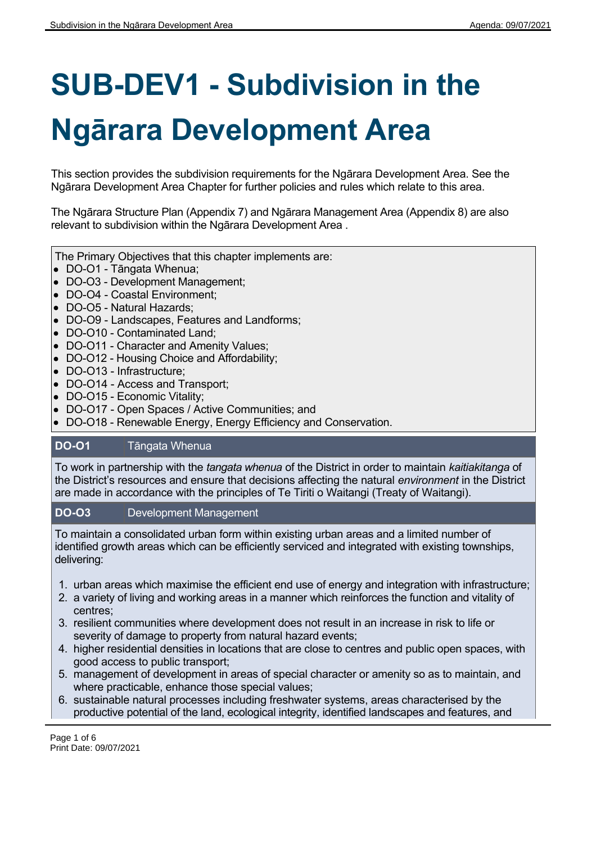# **SUB-DEV1 - Subdivision in the Ngārara Development Area**

This section provides the subdivision requirements for the Ngārara Development Area. See the Ngārara Development Area Chapter for further policies and rules which relate to this area.

The Ngārara Structure Plan (Appendix 7) and Ngārara Management Area (Appendix 8) are also relevant to subdivision within the Ngārara Development Area .

The Primary Objectives that this chapter implements are:

- DO-O1 Tāngata Whenua;
- DO-O3 Development Management;
- DO-O4 Coastal Environment;
- DO-O5 Natural Hazards;
- DO-O9 Landscapes, Features and Landforms;
- DO-O10 Contaminated Land;
- DO-O11 Character and Amenity Values;
- DO-O12 Housing Choice and Affordability;
- DO-O13 Infrastructure;
- DO-O14 Access and Transport;
- DO-O15 Economic Vitality;
- DO-O17 Open Spaces / Active Communities; and
- DO-O18 Renewable Energy, Energy Efficiency and Conservation.

## **DO-O1** Tāngata Whenua

To work in partnership with the *tangata whenua* of the District in order to maintain *kaitiakitanga* of the District's resources and ensure that decisions affecting the natural *environment* in the District are made in accordance with the principles of Te Tiriti o Waitangi (Treaty of Waitangi).

#### **DO-O3** Development Management

To maintain a consolidated urban form within existing urban areas and a limited number of identified growth areas which can be efficiently serviced and integrated with existing townships, delivering:

- 1. urban areas which maximise the efficient end use of energy and integration with infrastructure;
- 2. a variety of living and working areas in a manner which reinforces the function and vitality of centres;
- 3. resilient communities where development does not result in an increase in risk to life or severity of damage to property from natural hazard events;
- 4. higher residential densities in locations that are close to centres and public open spaces, with good access to public transport;
- 5. management of development in areas of special character or amenity so as to maintain, and where practicable, enhance those special values;
- 6. sustainable natural processes including freshwater systems, areas characterised by the productive potential of the land, ecological integrity, identified landscapes and features, and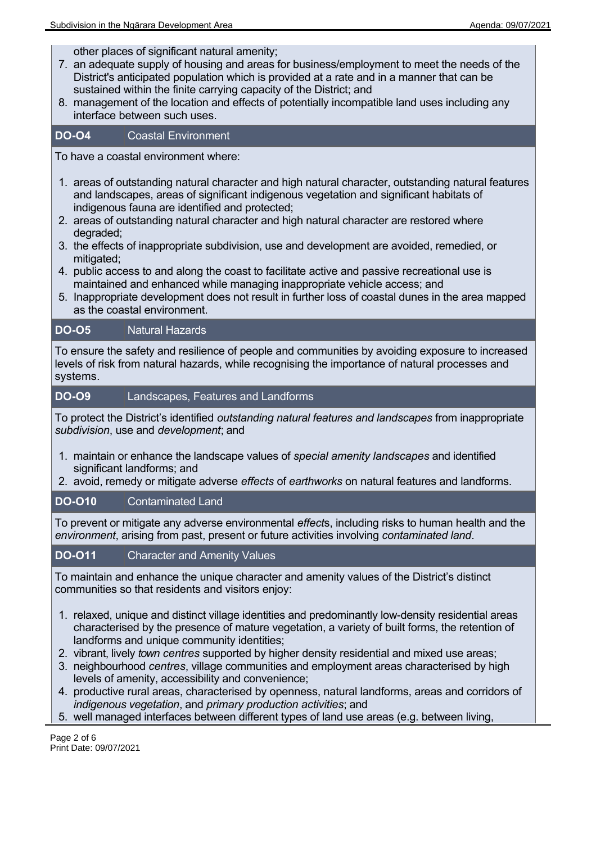other places of significant natural amenity;

- 7. an adequate supply of housing and areas for business/employment to meet the needs of the District's anticipated population which is provided at a rate and in a manner that can be sustained within the finite carrying capacity of the District; and
- 8. management of the location and effects of potentially incompatible land uses including any interface between such uses.

## **DO-O4** Coastal Environment

To have a coastal environment where:

- 1. areas of outstanding natural character and high natural character, outstanding natural features and landscapes, areas of significant indigenous vegetation and significant habitats of indigenous fauna are identified and protected;
- 2. areas of outstanding natural character and high natural character are restored where degraded;
- 3. the effects of inappropriate subdivision, use and development are avoided, remedied, or mitigated:
- 4. public access to and along the coast to facilitate active and passive recreational use is maintained and enhanced while managing inappropriate vehicle access; and
- 5. Inappropriate development does not result in further loss of coastal dunes in the area mapped as the coastal environment.

## **DO-O5** Natural Hazards

To ensure the safety and resilience of people and communities by avoiding exposure to increased levels of risk from natural hazards, while recognising the importance of natural processes and systems.

## **DO-O9** Landscapes, Features and Landforms

To protect the District's identified *outstanding natural features and landscapes* from inappropriate *subdivision*, use and *development*; and

- 1. maintain or enhance the landscape values of *special amenity landscapes* and identified significant landforms; and
- 2. avoid, remedy or mitigate adverse *effects* of *earthworks* on natural features and landforms.

## **DO-O10** Contaminated Land

To prevent or mitigate any adverse environmental *effect*s, including risks to human health and the *environment*, arising from past, present or future activities involving *contaminated land*.

## **DO-O11** Character and Amenity Values

To maintain and enhance the unique character and amenity values of the District's distinct communities so that residents and visitors enjoy:

- 1. relaxed, unique and distinct village identities and predominantly low-density residential areas characterised by the presence of mature vegetation, a variety of built forms, the retention of landforms and unique community identities;
- 2. vibrant, lively *town centres* supported by higher density residential and mixed use areas;
- 3. neighbourhood *centres*, village communities and employment areas characterised by high levels of amenity, accessibility and convenience;
- 4. productive rural areas, characterised by openness, natural landforms, areas and corridors of *indigenous vegetation*, and *primary production activities*; and
- 5. well managed interfaces between different types of land use areas (e.g. between living,

Page 2 of 6 Print Date: 09/07/2021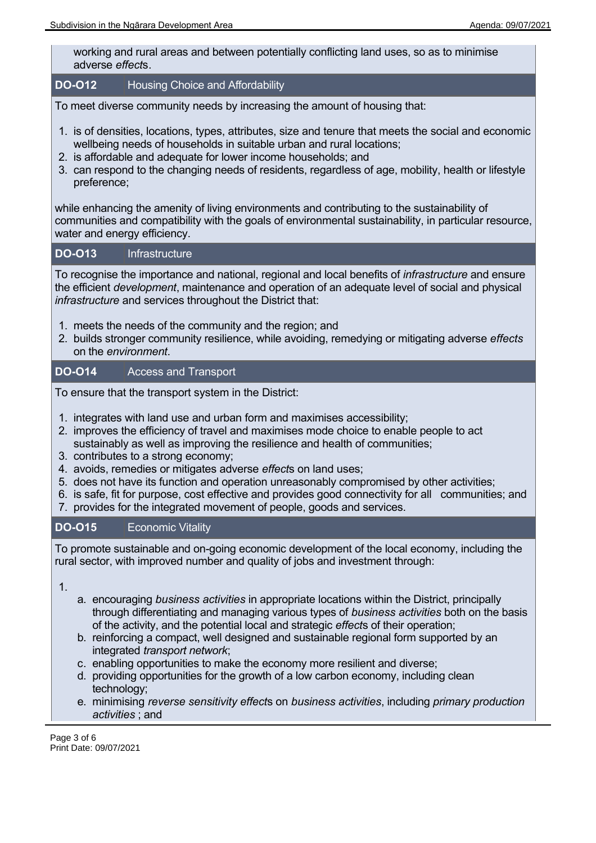working and rural areas and between potentially conflicting land uses, so as to minimise adverse *effect*s.

#### **DO-O12** Housing Choice and Affordability

To meet diverse community needs by increasing the amount of housing that:

- 1. is of densities, locations, types, attributes, size and tenure that meets the social and economic wellbeing needs of households in suitable urban and rural locations;
- 2. is affordable and adequate for lower income households; and
- 3. can respond to the changing needs of residents, regardless of age, mobility, health or lifestyle preference;

while enhancing the amenity of living environments and contributing to the sustainability of communities and compatibility with the goals of environmental sustainability, in particular resource, water and energy efficiency.

#### **DO-O13** Infrastructure

To recognise the importance and national, regional and local benefits of *infrastructure* and ensure the efficient *development*, maintenance and operation of an adequate level of social and physical *infrastructure* and services throughout the District that:

- 1. meets the needs of the community and the region; and
- 2. builds stronger community resilience, while avoiding, remedying or mitigating adverse *effects* on the *environment*.

## **DO-O14** Access and Transport

To ensure that the transport system in the District:

- 1. integrates with land use and urban form and maximises accessibility;
- 2. improves the efficiency of travel and maximises mode choice to enable people to act sustainably as well as improving the resilience and health of communities;
- 3. contributes to a strong economy;
- 4. avoids, remedies or mitigates adverse *effect*s on land uses;
- 5. does not have its function and operation unreasonably compromised by other activities;
- 6. is safe, fit for purpose, cost effective and provides good connectivity for all communities; and
- 7. provides for the integrated movement of people, goods and services.

## **DO-O15** Economic Vitality

To promote sustainable and on-going economic development of the local economy, including the rural sector, with improved number and quality of jobs and investment through:

1.

- a. encouraging *business activities* in appropriate locations within the District, principally through differentiating and managing various types of *business activities* both on the basis of the activity, and the potential local and strategic *effect*s of their operation;
- b. reinforcing a compact, well designed and sustainable regional form supported by an integrated *transport network*;
- c. enabling opportunities to make the economy more resilient and diverse;
- d. providing opportunities for the growth of a low carbon economy, including clean technology;
- e. minimising *reverse sensitivity effect*s on *business activities*, including *primary production activities* ; and

Page 3 of 6 Print Date: 09/07/2021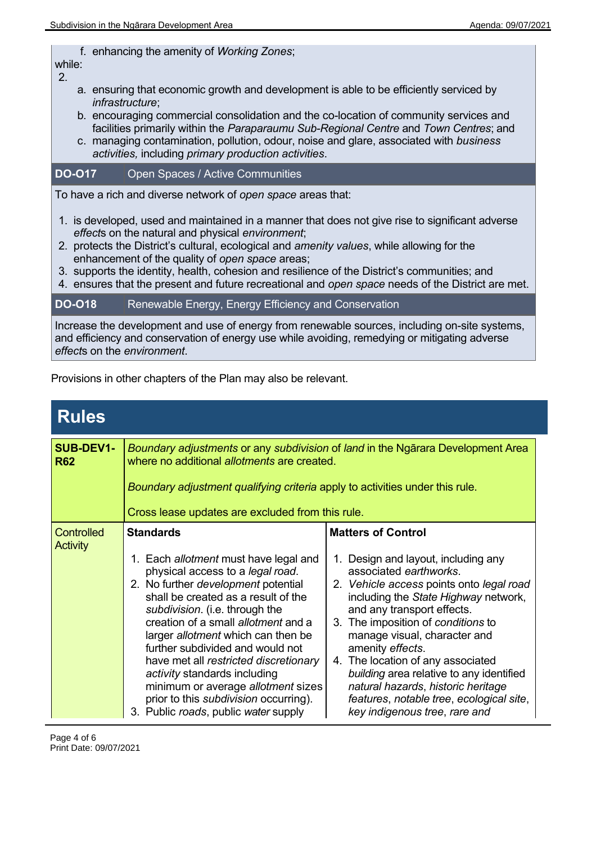f. enhancing the amenity of *Working Zones*;

while: 2.

- a. ensuring that economic growth and development is able to be efficiently serviced by *infrastructure*;
- b. encouraging commercial consolidation and the co-location of community services and facilities primarily within the *Paraparaumu Sub-Regional Centre* and *Town Centres*; and
- c. managing contamination, pollution, odour, noise and glare, associated with *business activities,* including *primary production activities*.

## **DO-O17** Open Spaces / Active Communities

To have a rich and diverse network of *open space* areas that:

- 1. is developed, used and maintained in a manner that does not give rise to significant adverse *effect*s on the natural and physical *environment*;
- 2. protects the District's cultural, ecological and *amenity values*, while allowing for the enhancement of the quality of *open space* areas;
- 3. supports the identity, health, cohesion and resilience of the District's communities; and
- 4. ensures that the present and future recreational and *open space* needs of the District are met.

#### **DO-O18** Renewable Energy, Energy Efficiency and Conservation

Increase the development and use of energy from renewable sources, including on-site systems, and efficiency and conservation of energy use while avoiding, remedying or mitigating adverse *effect*s on the *environment*.

Provisions in other chapters of the Plan may also be relevant.

| <b>Rules</b>                   |                                                                                                                                                                                                                                                                                                                                                                                                                                                                                                                                                     |                                                                                                                                                                                                                                                                                                                                                                                                                                                                                                            |  |
|--------------------------------|-----------------------------------------------------------------------------------------------------------------------------------------------------------------------------------------------------------------------------------------------------------------------------------------------------------------------------------------------------------------------------------------------------------------------------------------------------------------------------------------------------------------------------------------------------|------------------------------------------------------------------------------------------------------------------------------------------------------------------------------------------------------------------------------------------------------------------------------------------------------------------------------------------------------------------------------------------------------------------------------------------------------------------------------------------------------------|--|
| <b>SUB-DEV1-</b><br><b>R62</b> | Boundary adjustments or any subdivision of land in the Ngārara Development Area<br>where no additional allotments are created.<br>Boundary adjustment qualifying criteria apply to activities under this rule.<br>Cross lease updates are excluded from this rule.                                                                                                                                                                                                                                                                                  |                                                                                                                                                                                                                                                                                                                                                                                                                                                                                                            |  |
| Controlled<br>Activity         | <b>Standards</b><br>1. Each allotment must have legal and<br>physical access to a legal road.<br>2. No further <i>development</i> potential<br>shall be created as a result of the<br>subdivision. (i.e. through the<br>creation of a small <i>allotment</i> and a<br>larger allotment which can then be<br>further subdivided and would not<br>have met all restricted discretionary<br>activity standards including<br>minimum or average allotment sizes<br>prior to this <i>subdivision</i> occurring).<br>3. Public roads, public water supply | <b>Matters of Control</b><br>1. Design and layout, including any<br>associated earthworks.<br>2. Vehicle access points onto legal road<br>including the State Highway network,<br>and any transport effects.<br>3. The imposition of conditions to<br>manage visual, character and<br>amenity effects.<br>4. The location of any associated<br>building area relative to any identified<br>natural hazards, historic heritage<br>features, notable tree, ecological site,<br>key indigenous tree, rare and |  |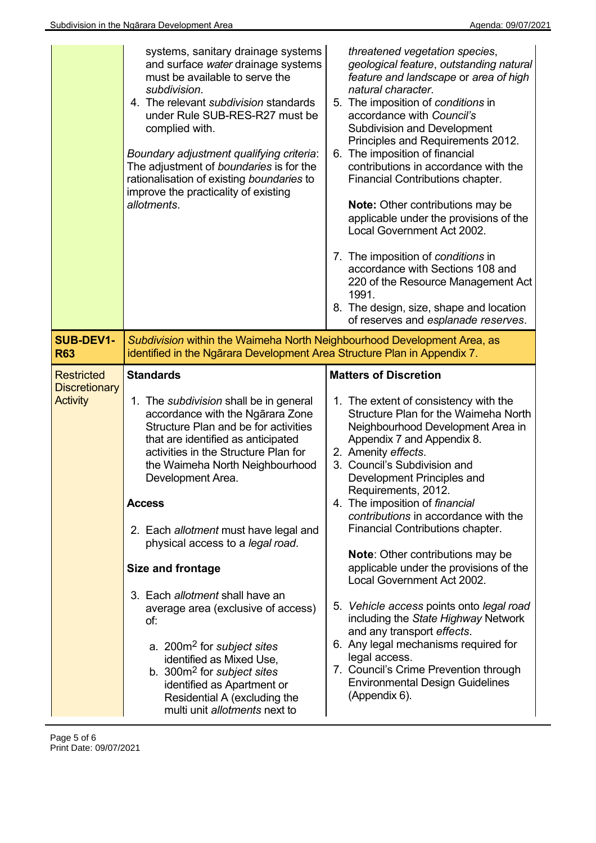|                                                              | systems, sanitary drainage systems<br>and surface water drainage systems<br>must be available to serve the<br>subdivision.<br>4. The relevant subdivision standards<br>under Rule SUB-RES-R27 must be<br>complied with.<br>Boundary adjustment qualifying criteria:<br>The adjustment of boundaries is for the<br>rationalisation of existing boundaries to<br>improve the practicality of existing<br>allotments.                                                                                                                                                                                                                                                                                                  | threatened vegetation species,<br>geological feature, outstanding natural<br>feature and landscape or area of high<br>natural character.<br>5. The imposition of conditions in<br>accordance with Council's<br><b>Subdivision and Development</b><br>Principles and Requirements 2012.<br>6. The imposition of financial<br>contributions in accordance with the<br>Financial Contributions chapter.<br><b>Note:</b> Other contributions may be<br>applicable under the provisions of the<br>Local Government Act 2002.<br>7. The imposition of conditions in<br>accordance with Sections 108 and<br>220 of the Resource Management Act<br>1991.<br>8. The design, size, shape and location<br>of reserves and esplanade reserves.                                                                          |
|--------------------------------------------------------------|---------------------------------------------------------------------------------------------------------------------------------------------------------------------------------------------------------------------------------------------------------------------------------------------------------------------------------------------------------------------------------------------------------------------------------------------------------------------------------------------------------------------------------------------------------------------------------------------------------------------------------------------------------------------------------------------------------------------|-------------------------------------------------------------------------------------------------------------------------------------------------------------------------------------------------------------------------------------------------------------------------------------------------------------------------------------------------------------------------------------------------------------------------------------------------------------------------------------------------------------------------------------------------------------------------------------------------------------------------------------------------------------------------------------------------------------------------------------------------------------------------------------------------------------|
| <b>SUB-DEV1-</b><br><b>R63</b>                               | Subdivision within the Waimeha North Neighbourhood Development Area, as<br>identified in the Ngārara Development Area Structure Plan in Appendix 7.                                                                                                                                                                                                                                                                                                                                                                                                                                                                                                                                                                 |                                                                                                                                                                                                                                                                                                                                                                                                                                                                                                                                                                                                                                                                                                                                                                                                             |
| <b>Restricted</b><br><b>Discretionary</b><br><b>Activity</b> | <b>Standards</b><br>1. The subdivision shall be in general<br>accordance with the Ngarara Zone<br>Structure Plan and be for activities<br>that are identified as anticipated<br>activities in the Structure Plan for<br>the Waimeha North Neighbourhood<br>Development Area.<br><b>Access</b><br>2. Each allotment must have legal and<br>physical access to a legal road.<br><b>Size and frontage</b><br>3. Each allotment shall have an<br>average area (exclusive of access)<br>of:<br>a. 200m <sup>2</sup> for <i>subject sites</i><br>identified as Mixed Use,<br>b. 300m <sup>2</sup> for <i>subject sites</i><br>identified as Apartment or<br>Residential A (excluding the<br>multi unit allotments next to | <b>Matters of Discretion</b><br>1. The extent of consistency with the<br>Structure Plan for the Waimeha North<br>Neighbourhood Development Area in<br>Appendix 7 and Appendix 8.<br>2. Amenity effects.<br>3. Council's Subdivision and<br>Development Principles and<br>Requirements, 2012.<br>4. The imposition of financial<br>contributions in accordance with the<br>Financial Contributions chapter.<br><b>Note: Other contributions may be</b><br>applicable under the provisions of the<br>Local Government Act 2002.<br>5. Vehicle access points onto legal road<br>including the State Highway Network<br>and any transport effects.<br>6. Any legal mechanisms required for<br>legal access.<br>7. Council's Crime Prevention through<br><b>Environmental Design Guidelines</b><br>(Appendix 6). |